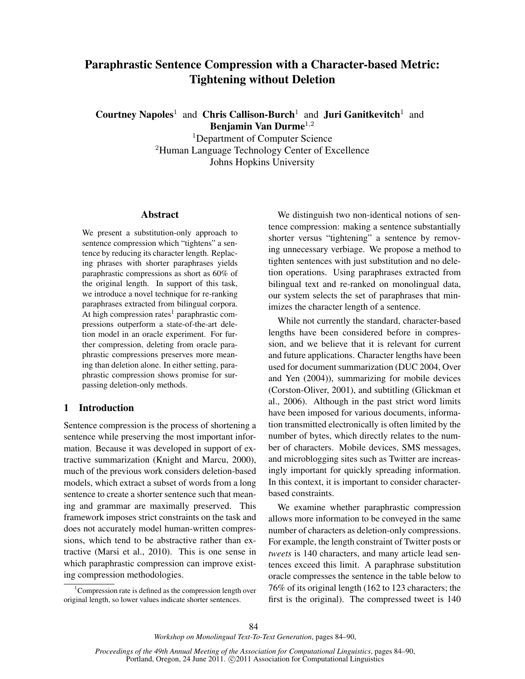# Paraphrastic Sentence Compression with a Character-based Metric: Tightening without Deletion

Courtney Napoles<sup>1</sup> and Chris Callison-Burch<sup>1</sup> and Juri Ganitkevitch<sup>1</sup> and Benjamin Van Durme<sup>1</sup>,<sup>2</sup>

> <sup>1</sup>Department of Computer Science <sup>2</sup>Human Language Technology Center of Excellence Johns Hopkins University

#### Abstract

We present a substitution-only approach to sentence compression which "tightens" a sentence by reducing its character length. Replacing phrases with shorter paraphrases yields paraphrastic compressions as short as 60% of the original length. In support of this task, we introduce a novel technique for re-ranking paraphrases extracted from bilingual corpora. At high compression rates<sup>1</sup> paraphrastic compressions outperform a state-of-the-art deletion model in an oracle experiment. For further compression, deleting from oracle paraphrastic compressions preserves more meaning than deletion alone. In either setting, paraphrastic compression shows promise for surpassing deletion-only methods.

## 1 Introduction

Sentence compression is the process of shortening a sentence while preserving the most important information. Because it was developed in support of extractive summarization (Knight and Marcu, 2000), much of the previous work considers deletion-based models, which extract a subset of words from a long sentence to create a shorter sentence such that meaning and grammar are maximally preserved. This framework imposes strict constraints on the task and does not accurately model human-written compressions, which tend to be abstractive rather than extractive (Marsi et al., 2010). This is one sense in which paraphrastic compression can improve existing compression methodologies.

We distinguish two non-identical notions of sentence compression: making a sentence substantially shorter versus "tightening" a sentence by removing unnecessary verbiage. We propose a method to tighten sentences with just substitution and no deletion operations. Using paraphrases extracted from bilingual text and re-ranked on monolingual data, our system selects the set of paraphrases that minimizes the character length of a sentence.

While not currently the standard, character-based lengths have been considered before in compression, and we believe that it is relevant for current and future applications. Character lengths have been used for document summarization (DUC 2004, Over and Yen (2004)), summarizing for mobile devices (Corston-Oliver, 2001), and subtitling (Glickman et al., 2006). Although in the past strict word limits have been imposed for various documents, information transmitted electronically is often limited by the number of bytes, which directly relates to the number of characters. Mobile devices, SMS messages, and microblogging sites such as Twitter are increasingly important for quickly spreading information. In this context, it is important to consider characterbased constraints.

We examine whether paraphrastic compression allows more information to be conveyed in the same number of characters as deletion-only compressions. For example, the length constraint of Twitter posts or *tweets* is 140 characters, and many article lead sentences exceed this limit. A paraphrase substitution oracle compresses the sentence in the table below to 76% of its original length (162 to 123 characters; the first is the original). The compressed tweet is 140

<sup>&</sup>lt;sup>1</sup>Compression rate is defined as the compression length over original length, so lower values indicate shorter sentences.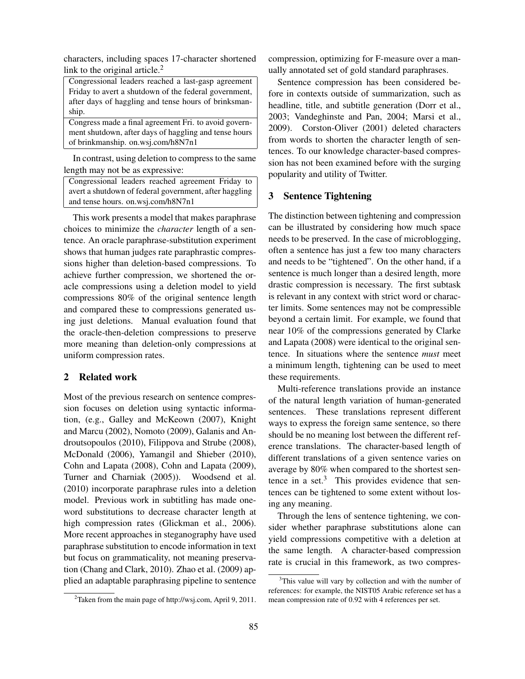characters, including spaces 17-character shortened link to the original article. $<sup>2</sup>$ </sup>

Congressional leaders reached a last-gasp agreement Friday to avert a shutdown of the federal government, after days of haggling and tense hours of brinksmanship.

Congress made a final agreement Fri. to avoid government shutdown, after days of haggling and tense hours of brinkmanship. on.wsj.com/h8N7n1

In contrast, using deletion to compress to the same length may not be as expressive:

Congressional leaders reached agreement Friday to avert a shutdown of federal government, after haggling and tense hours. on.wsj.com/h8N7n1

This work presents a model that makes paraphrase choices to minimize the *character* length of a sentence. An oracle paraphrase-substitution experiment shows that human judges rate paraphrastic compressions higher than deletion-based compressions. To achieve further compression, we shortened the oracle compressions using a deletion model to yield compressions 80% of the original sentence length and compared these to compressions generated using just deletions. Manual evaluation found that the oracle-then-deletion compressions to preserve more meaning than deletion-only compressions at uniform compression rates.

## 2 Related work

Most of the previous research on sentence compression focuses on deletion using syntactic information, (e.g., Galley and McKeown (2007), Knight and Marcu (2002), Nomoto (2009), Galanis and Androutsopoulos (2010), Filippova and Strube (2008), McDonald (2006), Yamangil and Shieber (2010), Cohn and Lapata (2008), Cohn and Lapata (2009), Turner and Charniak (2005)). Woodsend et al. (2010) incorporate paraphrase rules into a deletion model. Previous work in subtitling has made oneword substitutions to decrease character length at high compression rates (Glickman et al., 2006). More recent approaches in steganography have used paraphrase substitution to encode information in text but focus on grammaticality, not meaning preservation (Chang and Clark, 2010). Zhao et al. (2009) applied an adaptable paraphrasing pipeline to sentence

compression, optimizing for F-measure over a manually annotated set of gold standard paraphrases.

Sentence compression has been considered before in contexts outside of summarization, such as headline, title, and subtitle generation (Dorr et al., 2003; Vandeghinste and Pan, 2004; Marsi et al., 2009). Corston-Oliver (2001) deleted characters from words to shorten the character length of sentences. To our knowledge character-based compression has not been examined before with the surging popularity and utility of Twitter.

## 3 Sentence Tightening

The distinction between tightening and compression can be illustrated by considering how much space needs to be preserved. In the case of microblogging, often a sentence has just a few too many characters and needs to be "tightened". On the other hand, if a sentence is much longer than a desired length, more drastic compression is necessary. The first subtask is relevant in any context with strict word or character limits. Some sentences may not be compressible beyond a certain limit. For example, we found that near 10% of the compressions generated by Clarke and Lapata (2008) were identical to the original sentence. In situations where the sentence *must* meet a minimum length, tightening can be used to meet these requirements.

Multi-reference translations provide an instance of the natural length variation of human-generated sentences. These translations represent different ways to express the foreign same sentence, so there should be no meaning lost between the different reference translations. The character-based length of different translations of a given sentence varies on average by 80% when compared to the shortest sentence in a set. $3$  This provides evidence that sentences can be tightened to some extent without losing any meaning.

Through the lens of sentence tightening, we consider whether paraphrase substitutions alone can yield compressions competitive with a deletion at the same length. A character-based compression rate is crucial in this framework, as two compres-

<sup>&</sup>lt;sup>2</sup>Taken from the main page of http://wsj.com, April 9, 2011.

<sup>&</sup>lt;sup>3</sup>This value will vary by collection and with the number of references: for example, the NIST05 Arabic reference set has a mean compression rate of 0.92 with 4 references per set.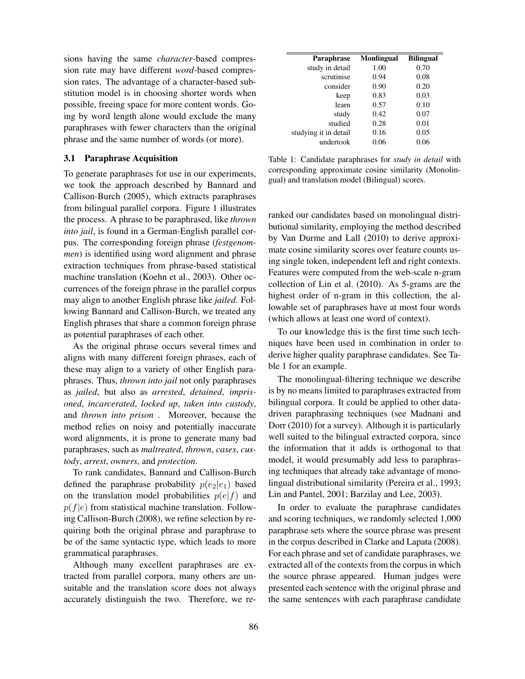sions having the same *character*-based compression rate may have different *word*-based compression rates. The advantage of a character-based substitution model is in choosing shorter words when possible, freeing space for more content words. Going by word length alone would exclude the many paraphrases with fewer characters than the original phrase and the same number of words (or more).

#### 3.1 Paraphrase Acquisition

To generate paraphrases for use in our experiments, we took the approach described by Bannard and Callison-Burch (2005), which extracts paraphrases from bilingual parallel corpora. Figure 1 illustrates the process. A phrase to be paraphrased, like *thrown into jail*, is found in a German-English parallel corpus. The corresponding foreign phrase (*festgenommen*) is identified using word alignment and phrase extraction techniques from phrase-based statistical machine translation (Koehn et al., 2003). Other occurrences of the foreign phrase in the parallel corpus may align to another English phrase like *jailed*. Following Bannard and Callison-Burch, we treated any English phrases that share a common foreign phrase as potential paraphrases of each other.

As the original phrase occurs several times and aligns with many different foreign phrases, each of these may align to a variety of other English paraphrases. Thus, *thrown into jail* not only paraphrases as *jailed*, but also as *arrested*, *detained*, *imprisoned*, *incarcerated*, *locked up*, *taken into custody*, and *thrown into prison* . Moreover, because the method relies on noisy and potentially inaccurate word alignments, it is prone to generate many bad paraphrases, such as *maltreated*, *thrown*, *cases*, *custody*, *arrest*, *owners*, and *protection*.

To rank candidates, Bannard and Callison-Burch defined the paraphrase probability  $p(e_2|e_1)$  based on the translation model probabilities  $p(e|f)$  and  $p(f|e)$  from statistical machine translation. Following Callison-Burch (2008), we refine selection by requiring both the original phrase and paraphrase to be of the same syntactic type, which leads to more grammatical paraphrases.

Although many excellent paraphrases are extracted from parallel corpora, many others are unsuitable and the translation score does not always accurately distinguish the two. Therefore, we re-

| <b>Monlingual</b> | <b>Bilingual</b> |
|-------------------|------------------|
| 1.00              | 0.70             |
| 0.94              | 0.08             |
| 0.90              | 0.20             |
| 0.83              | 0.03             |
| 0.57              | 0.10             |
| 0.42              | 0.07             |
| 0.28              | 0.01             |
| 0.16              | 0.05             |
| 0.06              | 0.06             |
|                   |                  |

Table 1: Candidate paraphrases for *study in detail* with corresponding approximate cosine similarity (Monolingual) and translation model (Bilingual) scores.

ranked our candidates based on monolingual distributional similarity, employing the method described by Van Durme and Lall (2010) to derive approximate cosine similarity scores over feature counts using single token, independent left and right contexts. Features were computed from the web-scale n-gram collection of Lin et al. (2010). As 5-grams are the highest order of n-gram in this collection, the allowable set of paraphrases have at most four words (which allows at least one word of context).

To our knowledge this is the first time such techniques have been used in combination in order to derive higher quality paraphrase candidates. See Table 1 for an example.

The monolingual-filtering technique we describe is by no means limited to paraphrases extracted from bilingual corpora. It could be applied to other datadriven paraphrasing techniques (see Madnani and Dorr (2010) for a survey). Although it is particularly well suited to the bilingual extracted corpora, since the information that it adds is orthogonal to that model, it would presumably add less to paraphrasing techniques that already take advantage of monolingual distributional similarity (Pereira et al., 1993; Lin and Pantel, 2001; Barzilay and Lee, 2003).

In order to evaluate the paraphrase candidates and scoring techniques, we randomly selected 1,000 paraphrase sets where the source phrase was present in the corpus described in Clarke and Lapata (2008). For each phrase and set of candidate paraphrases, we extracted all of the contexts from the corpus in which the source phrase appeared. Human judges were presented each sentence with the original phrase and the same sentences with each paraphrase candidate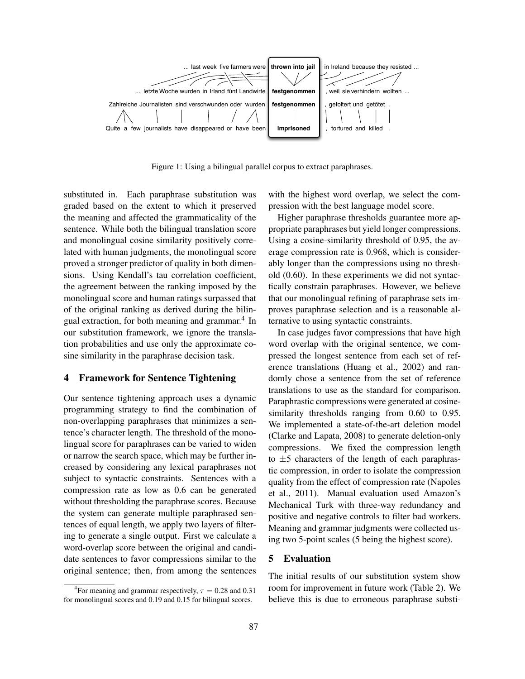

Figure 1: Using a bilingual parallel corpus to extract paraphrases.

substituted in. Each paraphrase substitution was graded based on the extent to which it preserved the meaning and affected the grammaticality of the sentence. While both the bilingual translation score and monolingual cosine similarity positively correlated with human judgments, the monolingual score proved a stronger predictor of quality in both dimensions. Using Kendall's tau correlation coefficient, the agreement between the ranking imposed by the monolingual score and human ratings surpassed that of the original ranking as derived during the bilingual extraction, for both meaning and grammar.<sup>4</sup> In our substitution framework, we ignore the translation probabilities and use only the approximate cosine similarity in the paraphrase decision task.

## 4 Framework for Sentence Tightening

Our sentence tightening approach uses a dynamic programming strategy to find the combination of non-overlapping paraphrases that minimizes a sentence's character length. The threshold of the monolingual score for paraphrases can be varied to widen or narrow the search space, which may be further increased by considering any lexical paraphrases not subject to syntactic constraints. Sentences with a compression rate as low as 0.6 can be generated without thresholding the paraphrase scores. Because the system can generate multiple paraphrased sentences of equal length, we apply two layers of filtering to generate a single output. First we calculate a word-overlap score between the original and candidate sentences to favor compressions similar to the original sentence; then, from among the sentences

with the highest word overlap, we select the compression with the best language model score.

Higher paraphrase thresholds guarantee more appropriate paraphrases but yield longer compressions. Using a cosine-similarity threshold of 0.95, the average compression rate is 0.968, which is considerably longer than the compressions using no threshold (0.60). In these experiments we did not syntactically constrain paraphrases. However, we believe that our monolingual refining of paraphrase sets improves paraphrase selection and is a reasonable alternative to using syntactic constraints.

In case judges favor compressions that have high word overlap with the original sentence, we compressed the longest sentence from each set of reference translations (Huang et al., 2002) and randomly chose a sentence from the set of reference translations to use as the standard for comparison. Paraphrastic compressions were generated at cosinesimilarity thresholds ranging from 0.60 to 0.95. We implemented a state-of-the-art deletion model (Clarke and Lapata, 2008) to generate deletion-only compressions. We fixed the compression length to  $\pm$ 5 characters of the length of each paraphrastic compression, in order to isolate the compression quality from the effect of compression rate (Napoles et al., 2011). Manual evaluation used Amazon's Mechanical Turk with three-way redundancy and positive and negative controls to filter bad workers. Meaning and grammar judgments were collected using two 5-point scales (5 being the highest score).

## 5 Evaluation

The initial results of our substitution system show room for improvement in future work (Table 2). We believe this is due to erroneous paraphrase substi-

<sup>&</sup>lt;sup>4</sup> For meaning and grammar respectively,  $\tau = 0.28$  and 0.31 for monolingual scores and 0.19 and 0.15 for bilingual scores.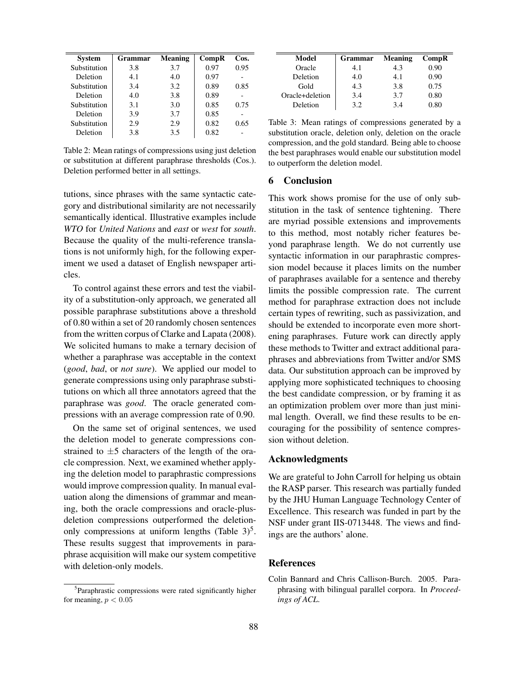| <b>System</b> | <b>Grammar</b> | Meaning | CompR | $\cos$ . |
|---------------|----------------|---------|-------|----------|
| Substitution  | 3.8            | 3.7     | 0.97  | 0.95     |
| Deletion      | 4.1            | 4.0     | 0.97  |          |
| Substitution  | 3.4            | 3.2     | 0.89  | 0.85     |
| Deletion      | 4.0            | 3.8     | 0.89  |          |
| Substitution  | 3.1            | 3.0     | 0.85  | 0.75     |
| Deletion      | 3.9            | 3.7     | 0.85  |          |
| Substitution  | 2.9            | 2.9     | 0.82  | 0.65     |
| Deletion      | 3.8            | 3.5     | 0.82  |          |

Table 2: Mean ratings of compressions using just deletion or substitution at different paraphrase thresholds (Cos.). Deletion performed better in all settings.

tutions, since phrases with the same syntactic category and distributional similarity are not necessarily semantically identical. Illustrative examples include *WTO* for *United Nations* and *east* or *west* for *south*. Because the quality of the multi-reference translations is not uniformly high, for the following experiment we used a dataset of English newspaper articles.

To control against these errors and test the viability of a substitution-only approach, we generated all possible paraphrase substitutions above a threshold of 0.80 within a set of 20 randomly chosen sentences from the written corpus of Clarke and Lapata (2008). We solicited humans to make a ternary decision of whether a paraphrase was acceptable in the context (*good*, *bad*, or *not sure*). We applied our model to generate compressions using only paraphrase substitutions on which all three annotators agreed that the paraphrase was *good*. The oracle generated compressions with an average compression rate of 0.90.

On the same set of original sentences, we used the deletion model to generate compressions constrained to  $\pm 5$  characters of the length of the oracle compression. Next, we examined whether applying the deletion model to paraphrastic compressions would improve compression quality. In manual evaluation along the dimensions of grammar and meaning, both the oracle compressions and oracle-plusdeletion compressions outperformed the deletiononly compressions at uniform lengths (Table  $3^5$ . These results suggest that improvements in paraphrase acquisition will make our system competitive with deletion-only models.

| Model           | <b>Grammar</b> | Meaning | Comp <sub>R</sub> |
|-----------------|----------------|---------|-------------------|
| Oracle          | 4.1            | 4.3     | 0.90              |
| Deletion        | 4.0            | 4.1     | 0.90              |
| Gold            | 4.3            | 3.8     | 0.75              |
| Oracle+deletion | 3.4            | 3.7     | 0.80              |
| Deletion        | 32             | 34      | 0.80              |

Table 3: Mean ratings of compressions generated by a substitution oracle, deletion only, deletion on the oracle compression, and the gold standard. Being able to choose the best paraphrases would enable our substitution model to outperform the deletion model.

#### 6 Conclusion

This work shows promise for the use of only substitution in the task of sentence tightening. There are myriad possible extensions and improvements to this method, most notably richer features beyond paraphrase length. We do not currently use syntactic information in our paraphrastic compression model because it places limits on the number of paraphrases available for a sentence and thereby limits the possible compression rate. The current method for paraphrase extraction does not include certain types of rewriting, such as passivization, and should be extended to incorporate even more shortening paraphrases. Future work can directly apply these methods to Twitter and extract additional paraphrases and abbreviations from Twitter and/or SMS data. Our substitution approach can be improved by applying more sophisticated techniques to choosing the best candidate compression, or by framing it as an optimization problem over more than just minimal length. Overall, we find these results to be encouraging for the possibility of sentence compression without deletion.

#### Acknowledgments

We are grateful to John Carroll for helping us obtain the RASP parser. This research was partially funded by the JHU Human Language Technology Center of Excellence. This research was funded in part by the NSF under grant IIS-0713448. The views and findings are the authors' alone.

#### References

<sup>&</sup>lt;sup>5</sup>Paraphrastic compressions were rated significantly higher for meaning,  $p < 0.05$ 

Colin Bannard and Chris Callison-Burch. 2005. Paraphrasing with bilingual parallel corpora. In *Proceedings of ACL*.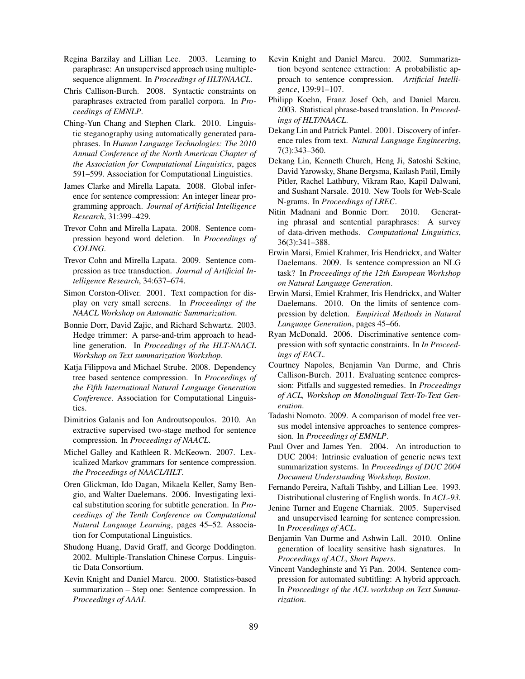- Regina Barzilay and Lillian Lee. 2003. Learning to paraphrase: An unsupervised approach using multiplesequence alignment. In *Proceedings of HLT/NAACL*.
- Chris Callison-Burch. 2008. Syntactic constraints on paraphrases extracted from parallel corpora. In *Proceedings of EMNLP*.
- Ching-Yun Chang and Stephen Clark. 2010. Linguistic steganography using automatically generated paraphrases. In *Human Language Technologies: The 2010 Annual Conference of the North American Chapter of the Association for Computational Linguistics*, pages 591–599. Association for Computational Linguistics.
- James Clarke and Mirella Lapata. 2008. Global inference for sentence compression: An integer linear programming approach. *Journal of Artificial Intelligence Research*, 31:399–429.
- Trevor Cohn and Mirella Lapata. 2008. Sentence compression beyond word deletion. In *Proceedings of COLING*.
- Trevor Cohn and Mirella Lapata. 2009. Sentence compression as tree transduction. *Journal of Artificial Intelligence Research*, 34:637–674.
- Simon Corston-Oliver. 2001. Text compaction for display on very small screens. In *Proceedings of the NAACL Workshop on Automatic Summarization*.
- Bonnie Dorr, David Zajic, and Richard Schwartz. 2003. Hedge trimmer: A parse-and-trim approach to headline generation. In *Proceedings of the HLT-NAACL Workshop on Text summarization Workshop*.
- Katja Filippova and Michael Strube. 2008. Dependency tree based sentence compression. In *Proceedings of the Fifth International Natural Language Generation Conference*. Association for Computational Linguistics.
- Dimitrios Galanis and Ion Androutsopoulos. 2010. An extractive supervised two-stage method for sentence compression. In *Proceedings of NAACL*.
- Michel Galley and Kathleen R. McKeown. 2007. Lexicalized Markov grammars for sentence compression. *the Proceedings of NAACL/HLT*.
- Oren Glickman, Ido Dagan, Mikaela Keller, Samy Bengio, and Walter Daelemans. 2006. Investigating lexical substitution scoring for subtitle generation. In *Proceedings of the Tenth Conference on Computational Natural Language Learning*, pages 45–52. Association for Computational Linguistics.
- Shudong Huang, David Graff, and George Doddington. 2002. Multiple-Translation Chinese Corpus. Linguistic Data Consortium.
- Kevin Knight and Daniel Marcu. 2000. Statistics-based summarization – Step one: Sentence compression. In *Proceedings of AAAI*.
- Kevin Knight and Daniel Marcu. 2002. Summarization beyond sentence extraction: A probabilistic approach to sentence compression. *Artificial Intelligence*, 139:91–107.
- Philipp Koehn, Franz Josef Och, and Daniel Marcu. 2003. Statistical phrase-based translation. In *Proceedings of HLT/NAACL*.
- Dekang Lin and Patrick Pantel. 2001. Discovery of inference rules from text. *Natural Language Engineering*, 7(3):343–360.
- Dekang Lin, Kenneth Church, Heng Ji, Satoshi Sekine, David Yarowsky, Shane Bergsma, Kailash Patil, Emily Pitler, Rachel Lathbury, Vikram Rao, Kapil Dalwani, and Sushant Narsale. 2010. New Tools for Web-Scale N-grams. In *Proceedings of LREC*.
- Nitin Madnani and Bonnie Dorr. 2010. Generating phrasal and sentential paraphrases: A survey of data-driven methods. *Computational Linguistics*, 36(3):341–388.
- Erwin Marsi, Emiel Krahmer, Iris Hendrickx, and Walter Daelemans. 2009. Is sentence compression an NLG task? In *Proceedings of the 12th European Workshop on Natural Language Generation*.
- Erwin Marsi, Emiel Krahmer, Iris Hendrickx, and Walter Daelemans. 2010. On the limits of sentence compression by deletion. *Empirical Methods in Natural Language Generation*, pages 45–66.
- Ryan McDonald. 2006. Discriminative sentence compression with soft syntactic constraints. In *In Proceedings of EACL*.
- Courtney Napoles, Benjamin Van Durme, and Chris Callison-Burch. 2011. Evaluating sentence compression: Pitfalls and suggested remedies. In *Proceedings of ACL, Workshop on Monolingual Text-To-Text Generation*.
- Tadashi Nomoto. 2009. A comparison of model free versus model intensive approaches to sentence compression. In *Proceedings of EMNLP*.
- Paul Over and James Yen. 2004. An introduction to DUC 2004: Intrinsic evaluation of generic news text summarization systems. In *Proceedings of DUC 2004 Document Understanding Workshop, Boston*.
- Fernando Pereira, Naftali Tishby, and Lillian Lee. 1993. Distributional clustering of English words. In *ACL-93*.
- Jenine Turner and Eugene Charniak. 2005. Supervised and unsupervised learning for sentence compression. In *Proceedings of ACL*.
- Benjamin Van Durme and Ashwin Lall. 2010. Online generation of locality sensitive hash signatures. In *Proceedings of ACL, Short Papers*.
- Vincent Vandeghinste and Yi Pan. 2004. Sentence compression for automated subtitling: A hybrid approach. In *Proceedings of the ACL workshop on Text Summarization*.